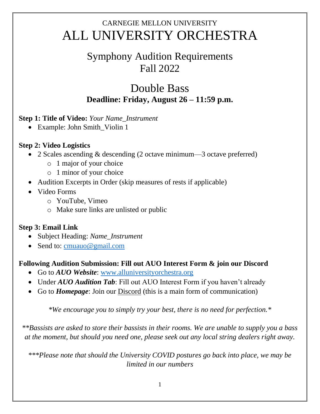# CARNEGIE MELLON UNIVERSITY ALL UNIVERSITY ORCHESTRA

## Symphony Audition Requirements Fall 2022

### Double Bass **Deadline: Friday, August 26 – 11:59 p.m.**

#### **Step 1: Title of Video:** *Your Name\_Instrument*

• Example: John Smith\_Violin 1

#### **Step 2: Video Logistics**

- 2 Scales ascending & descending (2 octave minimum—3 octave preferred)
	- o 1 major of your choice
	- o 1 minor of your choice
- Audition Excerpts in Order (skip measures of rests if applicable)
- Video Forms
	- o YouTube, Vimeo
	- o Make sure links are unlisted or public

### **Step 3: Email Link**

- Subject Heading: *Name\_Instrument*
- Send to: [cmuauo@gmail.com](mailto:cmuauo@gmail.com)

#### **Following Audition Submission: Fill out AUO Interest Form & join our Discord**

- Go to *AUO Website*: [www.alluniversityorchestra.org](http://www.alluniversityorchestra.org/)
- Under *AUO Audition Tab*: Fill out AUO Interest Form if you haven't already
- Go to *Homepage*: Join our Discord (this is a main form of communication)

*\*We encourage you to simply try your best, there is no need for perfection.\**

*\*\*Bassists are asked to store their bassists in their rooms. We are unable to supply you a bass at the moment, but should you need one, please seek out any local string dealers right away.*

*\*\*\*Please note that should the University COVID postures go back into place, we may be limited in our numbers*